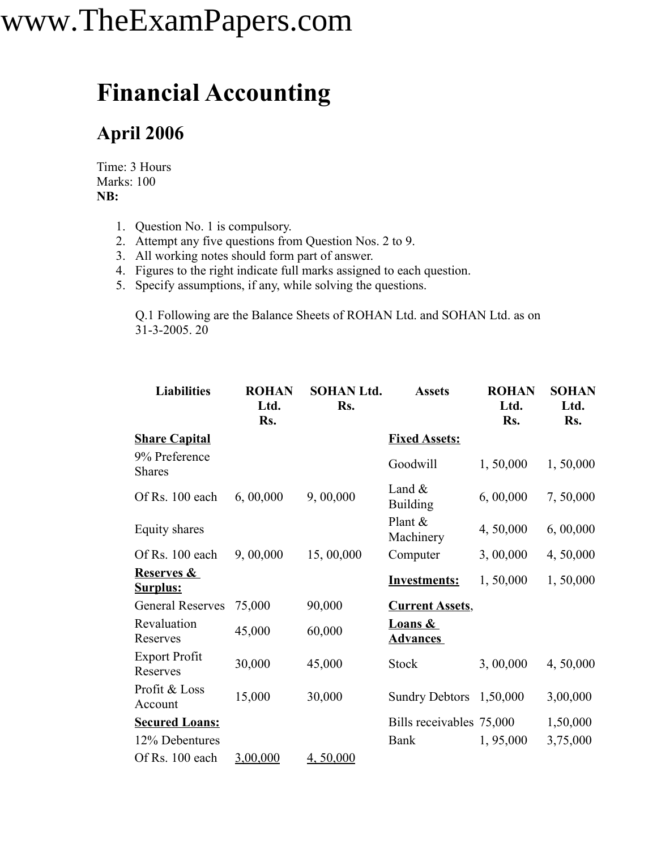#### **Financial Accounting**

#### **April 2006**

Time: 3 Hours Marks: 100 **NB:**

- 1. Question No. 1 is compulsory.
- 2. Attempt any five questions from Question Nos. 2 to 9.
- 3. All working notes should form part of answer.
- 4. Figures to the right indicate full marks assigned to each question.
- 5. Specify assumptions, if any, while solving the questions.

Q.1 Following are the Balance Sheets of ROHAN Ltd. and SOHAN Ltd. as on 31-3-2005. 20

| <b>Liabilities</b>                       | <b>ROHAN</b><br>Ltd.<br>Rs. | <b>SOHAN Ltd.</b><br>Rs. | <b>Assets</b>                         | <b>ROHAN</b><br>Ltd.<br>Rs. | <b>SOHAN</b><br>Ltd.<br>Rs. |
|------------------------------------------|-----------------------------|--------------------------|---------------------------------------|-----------------------------|-----------------------------|
| <b>Share Capital</b>                     |                             |                          | <b>Fixed Assets:</b>                  |                             |                             |
| 9% Preference<br><b>Shares</b>           |                             |                          | Goodwill                              | 1,50,000                    | 1,50,000                    |
| Of Rs. 100 each                          | 6,00,000                    | 9,00,000                 | Land $\&$<br><b>Building</b>          | 6,00,000                    | 7,50,000                    |
| Equity shares                            |                             |                          | Plant &<br>Machinery                  | 4,50,000                    | 6, 00,000                   |
| Of Rs. 100 each                          | 9,00,000                    | 15,00,000                | Computer                              | 3,00,000                    | 4, 50,000                   |
| <b>Reserves &amp;</b><br><b>Surplus:</b> |                             |                          | <b>Investments:</b>                   | 1,50,000                    | 1,50,000                    |
| <b>General Reserves</b>                  | 75,000                      | 90,000                   | <b>Current Assets,</b>                |                             |                             |
| Revaluation<br>Reserves                  | 45,000                      | 60,000                   | <b>Loans &amp;</b><br><b>Advances</b> |                             |                             |
| <b>Export Profit</b><br>Reserves         | 30,000                      | 45,000                   | <b>Stock</b>                          | 3,00,000                    | 4,50,000                    |
| Profit & Loss<br>Account                 | 15,000                      | 30,000                   | Sundry Debtors 1,50,000               |                             | 3,00,000                    |
| <b>Secured Loans:</b>                    |                             |                          | Bills receivables 75,000              |                             | 1,50,000                    |
| 12% Debentures                           |                             |                          | Bank                                  | 1,95,000                    | 3,75,000                    |
| Of Rs. 100 each                          | 3,00,000                    | 4,50,000                 |                                       |                             |                             |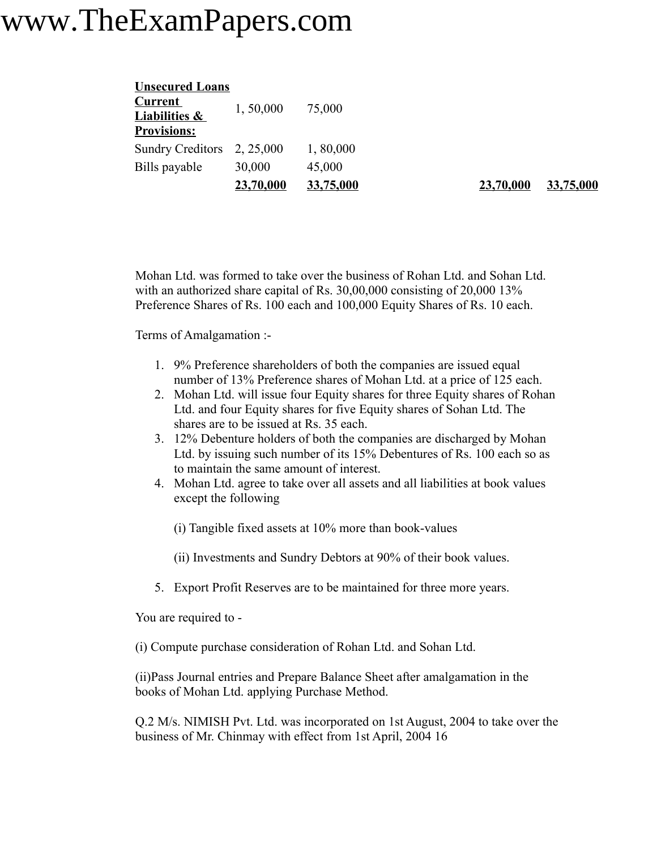| <b>Unsecured Loans</b>   |           |           |
|--------------------------|-----------|-----------|
| <u>Current</u>           | 1,50,000  | 75,000    |
| <b>Liabilities &amp;</b> |           |           |
| <b>Provisions:</b>       |           |           |
| <b>Sundry Creditors</b>  | 2, 25,000 | 1,80,000  |
| Bills payable            | 30,000    | 45,000    |
|                          | 23,70,000 | 33,75,000 |

**23,70,000 33,75,000 23,70,000 33,75,000**

Mohan Ltd. was formed to take over the business of Rohan Ltd. and Sohan Ltd. with an authorized share capital of Rs. 30,00,000 consisting of 20,000 13% Preference Shares of Rs. 100 each and 100,000 Equity Shares of Rs. 10 each.

Terms of Amalgamation :-

- 1. 9% Preference shareholders of both the companies are issued equal number of 13% Preference shares of Mohan Ltd. at a price of 125 each.
- 2. Mohan Ltd. will issue four Equity shares for three Equity shares of Rohan Ltd. and four Equity shares for five Equity shares of Sohan Ltd. The shares are to be issued at Rs. 35 each.
- 3. 12% Debenture holders of both the companies are discharged by Mohan Ltd. by issuing such number of its 15% Debentures of Rs. 100 each so as to maintain the same amount of interest.
- 4. Mohan Ltd. agree to take over all assets and all liabilities at book values except the following
	- (i) Tangible fixed assets at 10% more than book-values
	- (ii) Investments and Sundry Debtors at 90% of their book values.
- 5. Export Profit Reserves are to be maintained for three more years.

You are required to -

(i) Compute purchase consideration of Rohan Ltd. and Sohan Ltd.

(ii)Pass Journal entries and Prepare Balance Sheet after amalgamation in the books of Mohan Ltd. applying Purchase Method.

Q.2 M/s. NIMISH Pvt. Ltd. was incorporated on 1st August, 2004 to take over the business of Mr. Chinmay with effect from 1st April, 2004 16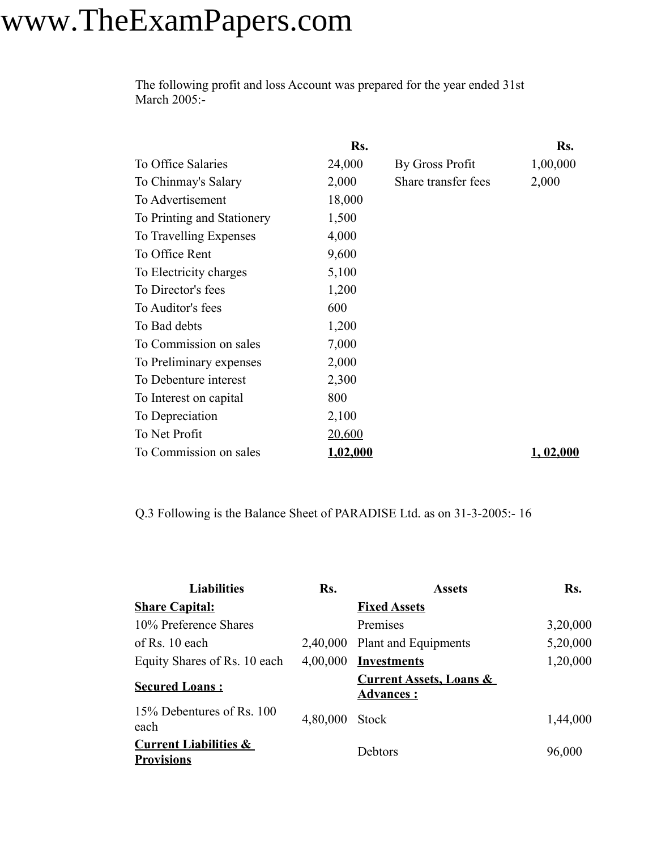The following profit and loss Account was prepared for the year ended 31st March 2005:-

|                            | Rs.           |                     | Rs.       |
|----------------------------|---------------|---------------------|-----------|
| To Office Salaries         | 24,000        | By Gross Profit     | 1,00,000  |
| To Chinmay's Salary        | 2,000         | Share transfer fees | 2,000     |
| To Advertisement           | 18,000        |                     |           |
| To Printing and Stationery | 1,500         |                     |           |
| To Travelling Expenses     | 4,000         |                     |           |
| To Office Rent             | 9,600         |                     |           |
| To Electricity charges     | 5,100         |                     |           |
| To Director's fees         | 1,200         |                     |           |
| To Auditor's fees          | 600           |                     |           |
| To Bad debts               | 1,200         |                     |           |
| To Commission on sales     | 7,000         |                     |           |
| To Preliminary expenses    | 2,000         |                     |           |
| To Debenture interest      | 2,300         |                     |           |
| To Interest on capital     | 800           |                     |           |
| To Depreciation            | 2,100         |                     |           |
| To Net Profit              | <u>20,600</u> |                     |           |
| To Commission on sales     | 1,02,000      |                     | 1, 02,000 |

Q.3 Following is the Balance Sheet of PARADISE Ltd. as on 31-3-2005:- 16

| <b>Liabilities</b>                                    | Rs.      | <b>Assets</b>                                          | Rs.      |
|-------------------------------------------------------|----------|--------------------------------------------------------|----------|
| <b>Share Capital:</b>                                 |          | <b>Fixed Assets</b>                                    |          |
| 10% Preference Shares                                 |          | Premises                                               | 3,20,000 |
| of Rs. $10$ each                                      | 2,40,000 | Plant and Equipments                                   | 5,20,000 |
| Equity Shares of Rs. 10 each                          | 4,00,000 | <b>Investments</b>                                     | 1,20,000 |
| <b>Secured Loans:</b>                                 |          | <b>Current Assets, Loans &amp;</b><br><b>Advances:</b> |          |
| 15% Debentures of Rs. 100<br>each                     | 4,80,000 | <b>Stock</b>                                           | 1,44,000 |
| <b>Current Liabilities &amp;</b><br><b>Provisions</b> |          | Debtors                                                | 96,000   |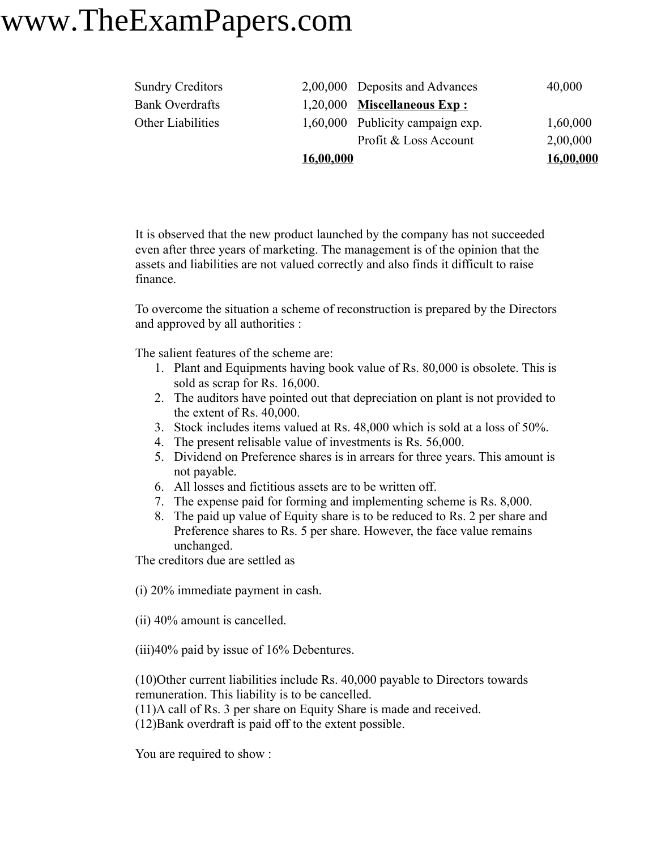| <b>Sundry Creditors</b> |           | 2,00,000 Deposits and Advances   | 40,000    |
|-------------------------|-----------|----------------------------------|-----------|
| <b>Bank Overdrafts</b>  |           | $1,20,000$ Miscellaneous Exp:    |           |
| Other Liabilities       |           | 1,60,000 Publicity campaign exp. | 1,60,000  |
|                         |           | Profit & Loss Account            | 2,00,000  |
|                         | 16,00,000 |                                  | 16,00,000 |

It is observed that the new product launched by the company has not succeeded even after three years of marketing. The management is of the opinion that the assets and liabilities are not valued correctly and also finds it difficult to raise finance.

To overcome the situation a scheme of reconstruction is prepared by the Directors and approved by all authorities :

The salient features of the scheme are:

- 1. Plant and Equipments having book value of Rs. 80,000 is obsolete. This is sold as scrap for Rs. 16,000.
- 2. The auditors have pointed out that depreciation on plant is not provided to the extent of Rs. 40,000.
- 3. Stock includes items valued at Rs. 48,000 which is sold at a loss of 50%.
- 4. The present relisable value of investments is Rs. 56,000.
- 5. Dividend on Preference shares is in arrears for three years. This amount is not payable.
- 6. All losses and fictitious assets are to be written off.
- 7. The expense paid for forming and implementing scheme is Rs. 8,000.
- 8. The paid up value of Equity share is to be reduced to Rs. 2 per share and Preference shares to Rs. 5 per share. However, the face value remains unchanged.

The creditors due are settled as

(i) 20% immediate payment in cash.

(ii) 40% amount is cancelled.

(iii)40% paid by issue of 16% Debentures.

(10)Other current liabilities include Rs. 40,000 payable to Directors towards remuneration. This liability is to be cancelled.

(11)A call of Rs. 3 per share on Equity Share is made and received.

(12)Bank overdraft is paid off to the extent possible.

You are required to show :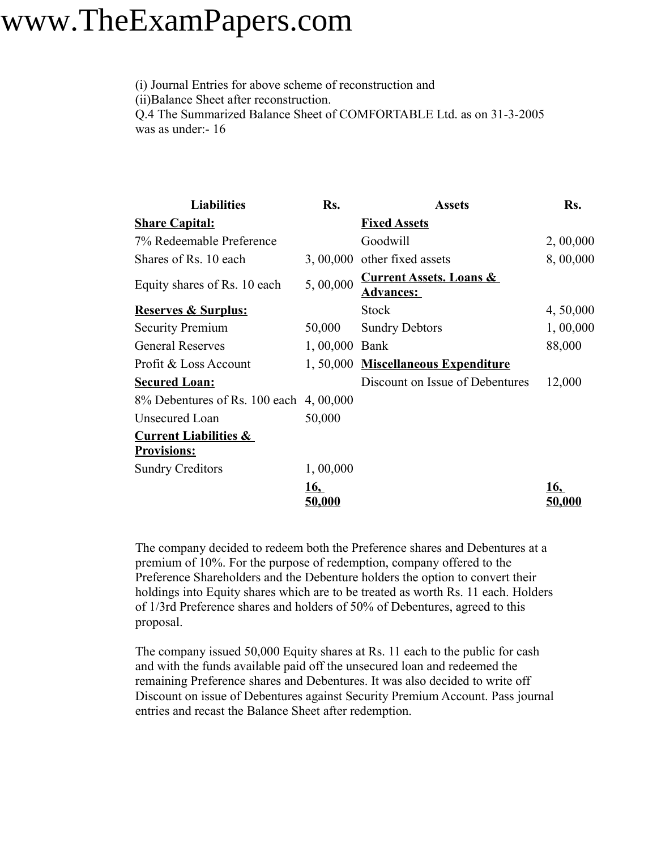(i) Journal Entries for above scheme of reconstruction and (ii)Balance Sheet after reconstruction. Q.4 The Summarized Balance Sheet of COMFORTABLE Ltd. as on 31-3-2005 was as under:- 16

| <b>Liabilities</b>                                     | Rs.                         | <b>Assets</b>                                            | Rs.                  |
|--------------------------------------------------------|-----------------------------|----------------------------------------------------------|----------------------|
| <b>Share Capital:</b>                                  |                             | <b>Fixed Assets</b>                                      |                      |
| 7% Redeemable Preference                               |                             | Goodwill                                                 | 2,00,000             |
| Shares of Rs. 10 each                                  |                             | $3,00,000$ other fixed assets                            | 8,00,000             |
| Equity shares of Rs. 10 each                           | 5,00,000                    | <b>Current Assets. Loans &amp;</b><br><u> Advances: </u> |                      |
| <b>Reserves &amp; Surplus:</b>                         |                             | <b>Stock</b>                                             | 4, 50,000            |
| <b>Security Premium</b>                                | 50,000                      | <b>Sundry Debtors</b>                                    | 1,00,000             |
| <b>General Reserves</b>                                | 1,00,000 Bank               |                                                          | 88,000               |
| Profit & Loss Account                                  |                             | 1, 50,000 Miscellaneous Expenditure                      |                      |
| <b>Secured Loan:</b>                                   |                             | Discount on Issue of Debentures                          | 12,000               |
| 8% Debentures of Rs. 100 each 4, 00,000                |                             |                                                          |                      |
| Unsecured Loan                                         | 50,000                      |                                                          |                      |
| <b>Current Liabilities &amp;</b><br><b>Provisions:</b> |                             |                                                          |                      |
| <b>Sundry Creditors</b>                                | 1,00,000                    |                                                          |                      |
|                                                        | <u>16,</u><br><u>50,000</u> |                                                          | 16,<br><u>50,000</u> |

The company decided to redeem both the Preference shares and Debentures at a premium of 10%. For the purpose of redemption, company offered to the Preference Shareholders and the Debenture holders the option to convert their holdings into Equity shares which are to be treated as worth Rs. 11 each. Holders of 1/3rd Preference shares and holders of 50% of Debentures, agreed to this proposal.

The company issued 50,000 Equity shares at Rs. 11 each to the public for cash and with the funds available paid off the unsecured loan and redeemed the remaining Preference shares and Debentures. It was also decided to write off Discount on issue of Debentures against Security Premium Account. Pass journal entries and recast the Balance Sheet after redemption.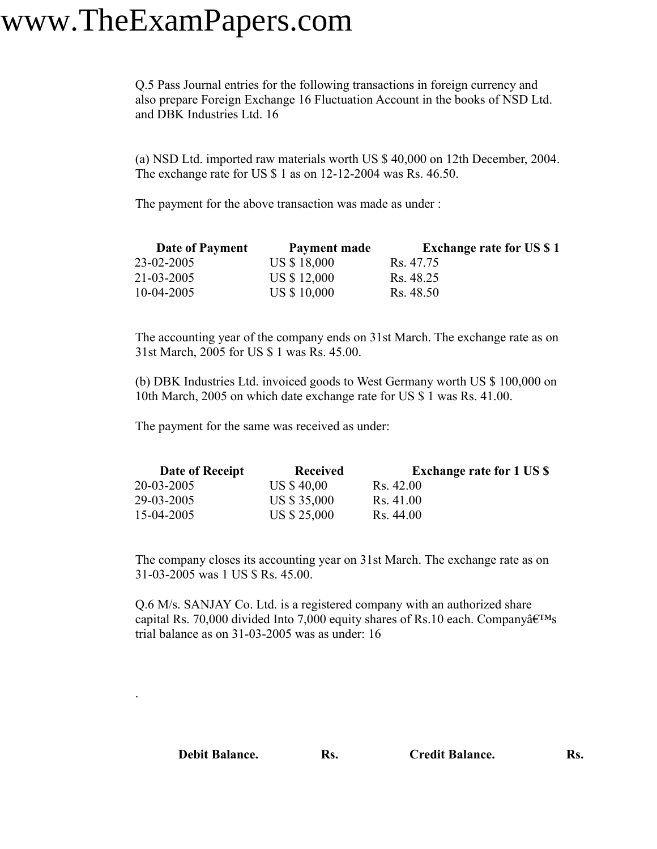.

Q.5 Pass Journal entries for the following transactions in foreign currency and also prepare Foreign Exchange 16 Fluctuation Account in the books of NSD Ltd. and DBK Industries Ltd. 16

(a) NSD Ltd. imported raw materials worth US \$ 40,000 on 12th December, 2004. The exchange rate for US \$ 1 as on 12-12-2004 was Rs. 46.50.

The payment for the above transaction was made as under :

| <b>Date of Payment</b> | Payment made | <b>Exchange rate for US \$1</b> |
|------------------------|--------------|---------------------------------|
| 23-02-2005             | US \$18,000  | Rs. 47.75                       |
| 21-03-2005             | US \$12,000  | Rs. 48.25                       |
| $10-04-2005$           | US \$ 10,000 | Rs. 48.50                       |

The accounting year of the company ends on 31st March. The exchange rate as on 31st March, 2005 for US \$ 1 was Rs. 45.00.

(b) DBK Industries Ltd. invoiced goods to West Germany worth US \$ 100,000 on 10th March, 2005 on which date exchange rate for US \$ 1 was Rs. 41.00.

The payment for the same was received as under:

| Date of Receipt | <b>Received</b> | <b>Exchange rate for 1 US \$</b> |
|-----------------|-----------------|----------------------------------|
| 20-03-2005      | US \$40,00      | R <sub>S</sub> 42.00             |
| 29-03-2005      | US \$ 35,000    | Rs. 41.00                        |
| 15-04-2005      | US \$ 25,000    | Rs. 44.00                        |

The company closes its accounting year on 31st March. The exchange rate as on 31-03-2005 was 1 US \$ Rs. 45.00.

Q.6 M/s. SANJAY Co. Ltd. is a registered company with an authorized share capital Rs. 70,000 divided Into 7,000 equity shares of Rs.10 each. Company $\hat{a} \in T^{M}$ s trial balance as on 31-03-2005 was as under: 16

| <b>Debit Balance.</b> | Rs. | <b>Credit Balance.</b> | Rs. |
|-----------------------|-----|------------------------|-----|
|                       |     |                        |     |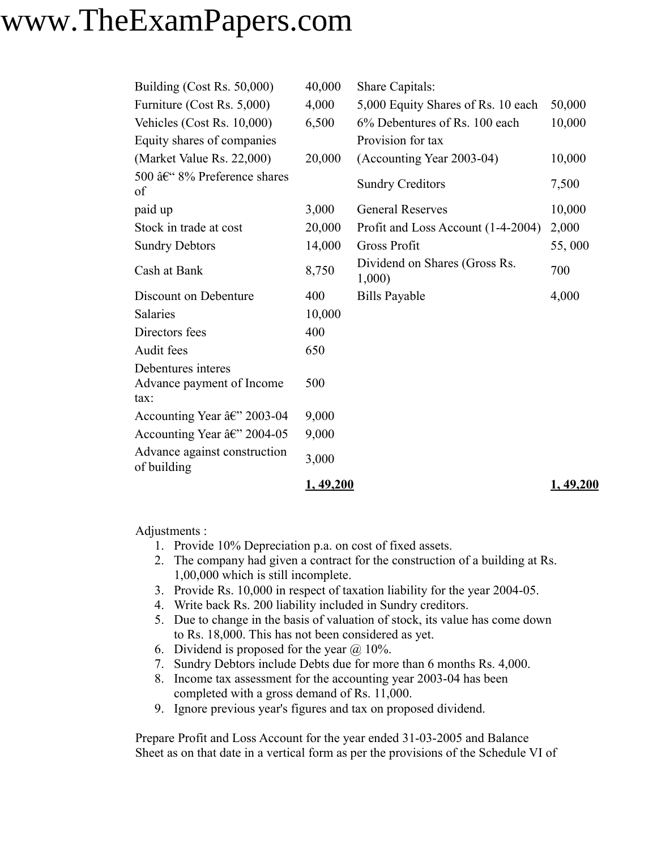| Building (Cost Rs. 50,000)                              | 40,000     | Share Capitals:                        |            |
|---------------------------------------------------------|------------|----------------------------------------|------------|
| Furniture (Cost Rs. 5,000)                              | 4,000      | 5,000 Equity Shares of Rs. 10 each     | 50,000     |
| Vehicles (Cost Rs. 10,000)                              | 6,500      | 6% Debentures of Rs. 100 each          | 10,000     |
| Equity shares of companies                              |            | Provision for tax                      |            |
| (Market Value Rs. 22,000)                               | 20,000     | (Accounting Year 2003-04)              | 10,000     |
| 500 – 8% Preference shares<br>of                        |            | <b>Sundry Creditors</b>                | 7,500      |
| paid up                                                 | 3,000      | <b>General Reserves</b>                | 10,000     |
| Stock in trade at cost                                  | 20,000     | Profit and Loss Account (1-4-2004)     | 2,000      |
| <b>Sundry Debtors</b>                                   | 14,000     | <b>Gross Profit</b>                    | 55,000     |
| Cash at Bank                                            | 8,750      | Dividend on Shares (Gross Rs.<br>1,000 | 700        |
| Discount on Debenture                                   | 400        | <b>Bills Payable</b>                   | 4,000      |
| <b>Salaries</b>                                         | 10,000     |                                        |            |
| Directors fees                                          | 400        |                                        |            |
| Audit fees                                              | 650        |                                        |            |
| Debentures interes<br>Advance payment of Income<br>tax: | 500        |                                        |            |
| Accounting Year â€" 2003-04                             | 9,000      |                                        |            |
| Accounting Year $\hat{a}\hat{\epsilon}$ " 2004-05       | 9,000      |                                        |            |
| Advance against construction<br>of building             | 3,000      |                                        |            |
|                                                         | 1, 49, 200 |                                        | 1, 49, 200 |

Adjustments :

- 1. Provide 10% Depreciation p.a. on cost of fixed assets.
- 2. The company had given a contract for the construction of a building at Rs. 1,00,000 which is still incomplete.
- 3. Provide Rs. 10,000 in respect of taxation liability for the year 2004-05.
- 4. Write back Rs. 200 liability included in Sundry creditors.
- 5. Due to change in the basis of valuation of stock, its value has come down to Rs. 18,000. This has not been considered as yet.
- 6. Dividend is proposed for the year  $\omega$  10%.
- 7. Sundry Debtors include Debts due for more than 6 months Rs. 4,000.
- 8. Income tax assessment for the accounting year 2003-04 has been completed with a gross demand of Rs. 11,000.
- 9. Ignore previous year's figures and tax on proposed dividend.

Prepare Profit and Loss Account for the year ended 31-03-2005 and Balance Sheet as on that date in a vertical form as per the provisions of the Schedule VI of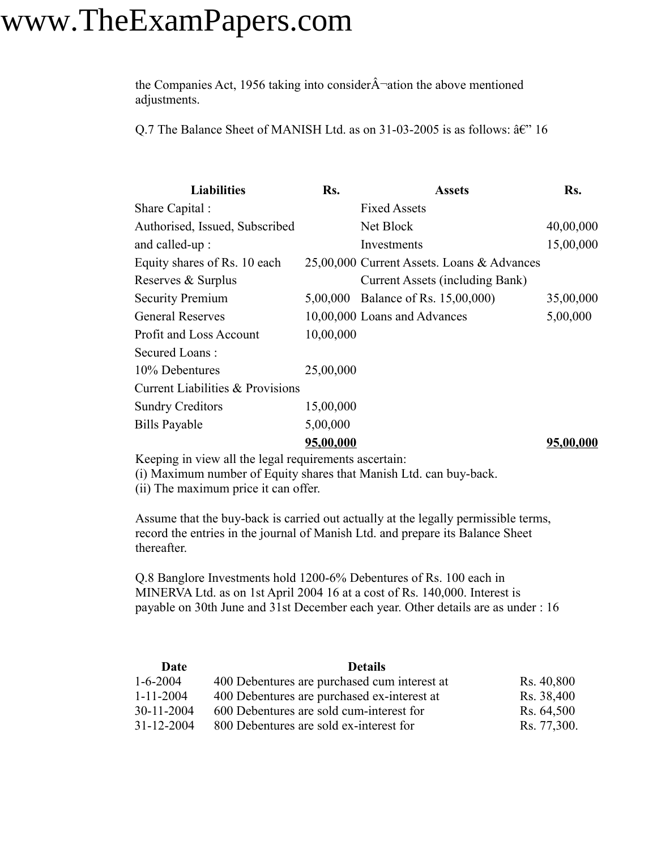the Companies Act, 1956 taking into consider $\hat{A}$  ation the above mentioned adjustments.

Q.7 The Balance Sheet of MANISH Ltd. as on 31-03-2005 is as follows:  $\hat{a} \in C^{\infty}$  16

| <b>Liabilities</b>               | Rs.       | <b>Assets</b>                              | Rs.       |
|----------------------------------|-----------|--------------------------------------------|-----------|
| Share Capital:                   |           | <b>Fixed Assets</b>                        |           |
| Authorised, Issued, Subscribed   |           | Net Block                                  | 40,00,000 |
| and called-up:                   |           | Investments                                | 15,00,000 |
| Equity shares of Rs. 10 each     |           | 25,00,000 Current Assets. Loans & Advances |           |
| Reserves & Surplus               |           | Current Assets (including Bank)            |           |
| <b>Security Premium</b>          |           | 5,00,000 Balance of Rs. 15,00,000)         | 35,00,000 |
| <b>General Reserves</b>          |           | 10,00,000 Loans and Advances               | 5,00,000  |
| Profit and Loss Account          | 10,00,000 |                                            |           |
| Secured Loans:                   |           |                                            |           |
| 10% Debentures                   | 25,00,000 |                                            |           |
| Current Liabilities & Provisions |           |                                            |           |
| <b>Sundry Creditors</b>          | 15,00,000 |                                            |           |
| <b>Bills Payable</b>             | 5,00,000  |                                            |           |
|                                  | 95,00,000 |                                            | 95,00,000 |

Keeping in view all the legal requirements ascertain: (i) Maximum number of Equity shares that Manish Ltd. can buy-back.

(ii) The maximum price it can offer.

Assume that the buy-back is carried out actually at the legally permissible terms, record the entries in the journal of Manish Ltd. and prepare its Balance Sheet thereafter.

Q.8 Banglore Investments hold 1200-6% Debentures of Rs. 100 each in MINERVA Ltd. as on 1st April 2004 16 at a cost of Rs. 140,000. Interest is payable on 30th June and 31st December each year. Other details are as under : 16

| Date             | <b>Details</b>                               |             |
|------------------|----------------------------------------------|-------------|
| $1 - 6 - 2004$   | 400 Debentures are purchased cum interest at | Rs. 40,800  |
| $1 - 11 - 2004$  | 400 Debentures are purchased ex-interest at  | Rs. 38,400  |
| $30 - 11 - 2004$ | 600 Debentures are sold cum-interest for     | Rs. 64,500  |
| $31 - 12 - 2004$ | 800 Debentures are sold ex-interest for      | Rs. 77,300. |